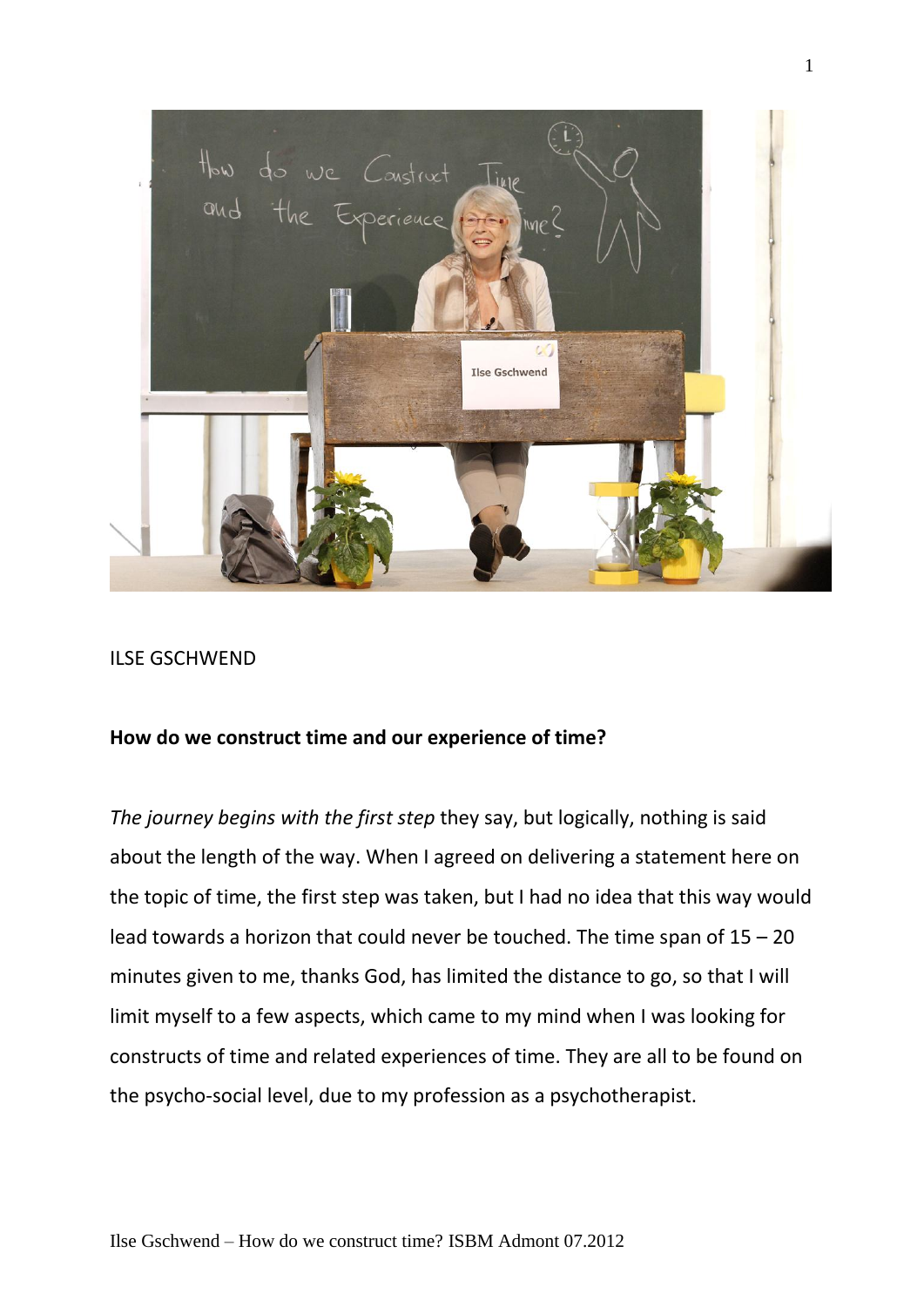

## ILSE GSCHWEND

## **How do we construct time and our experience of time?**

*The journey begins with the first step* they say, but logically, nothing is said about the length of the way. When I agreed on delivering a statement here on the topic of time, the first step was taken, but I had no idea that this way would lead towards a horizon that could never be touched. The time span of 15 – 20 minutes given to me, thanks God, has limited the distance to go, so that I will limit myself to a few aspects, which came to my mind when I was looking for constructs of time and related experiences of time. They are all to be found on the psycho-social level, due to my profession as a psychotherapist.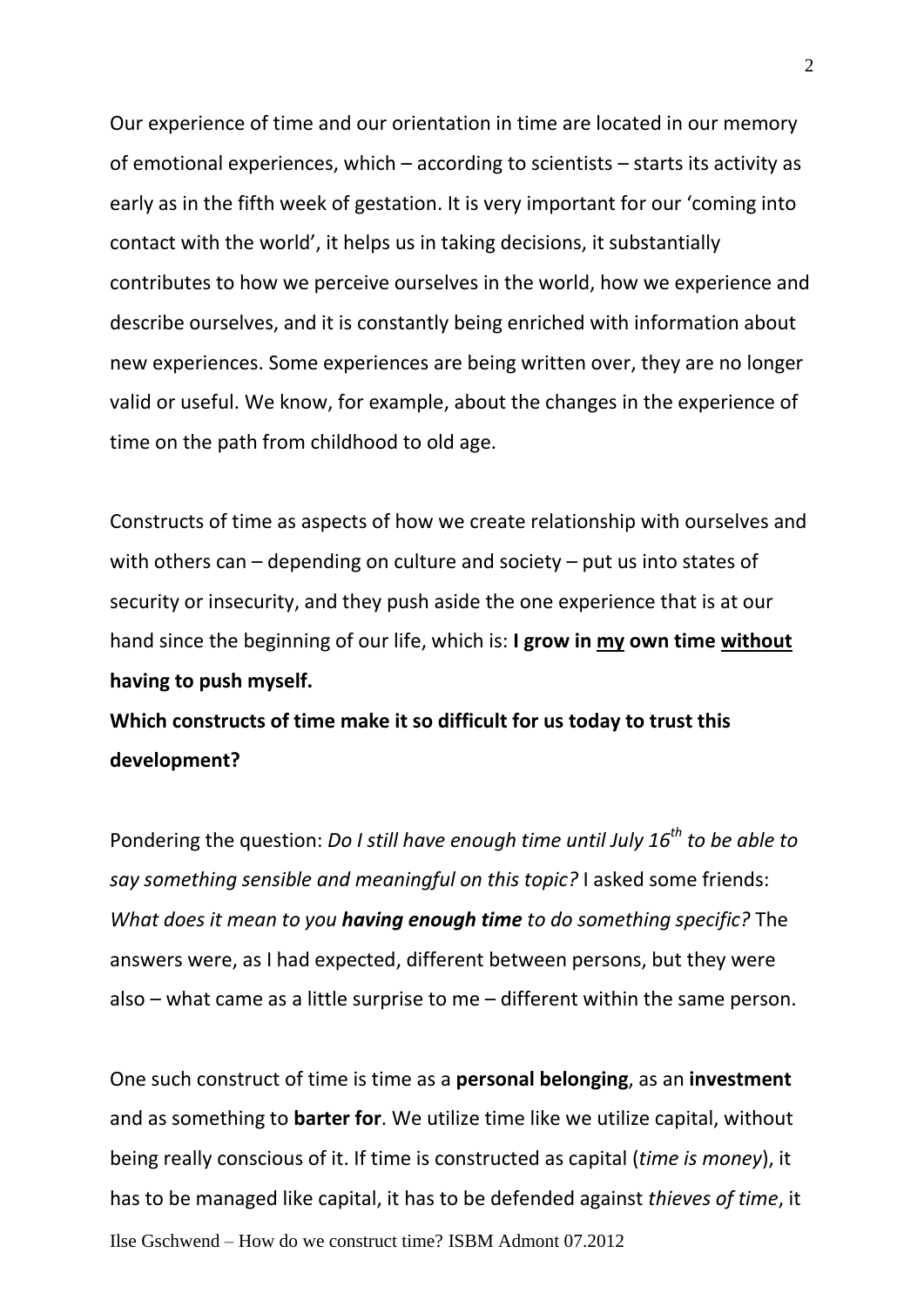Our experience of time and our orientation in time are located in our memory of emotional experiences, which – according to scientists – starts its activity as early as in the fifth week of gestation. It is very important for our 'coming into contact with the world', it helps us in taking decisions, it substantially contributes to how we perceive ourselves in the world, how we experience and describe ourselves, and it is constantly being enriched with information about new experiences. Some experiences are being written over, they are no longer valid or useful. We know, for example, about the changes in the experience of time on the path from childhood to old age.

Constructs of time as aspects of how we create relationship with ourselves and with others can – depending on culture and society – put us into states of security or insecurity, and they push aside the one experience that is at our hand since the beginning of our life, which is: **I grow in my own time without having to push myself.**

**Which constructs of time make it so difficult for us today to trust this development?**

Pondering the question: *Do I still have enough time until July 16th to be able to say something sensible and meaningful on this topic?* I asked some friends: *What does it mean to you having enough time to do something specific?* The answers were, as I had expected, different between persons, but they were also – what came as a little surprise to me – different within the same person.

Ilse Gschwend – How do we construct time? ISBM Admont 07.2012 One such construct of time is time as a **personal belonging**, as an **investment** and as something to **barter for**. We utilize time like we utilize capital, without being really conscious of it. If time is constructed as capital (*time is money*), it has to be managed like capital, it has to be defended against *thieves of time*, it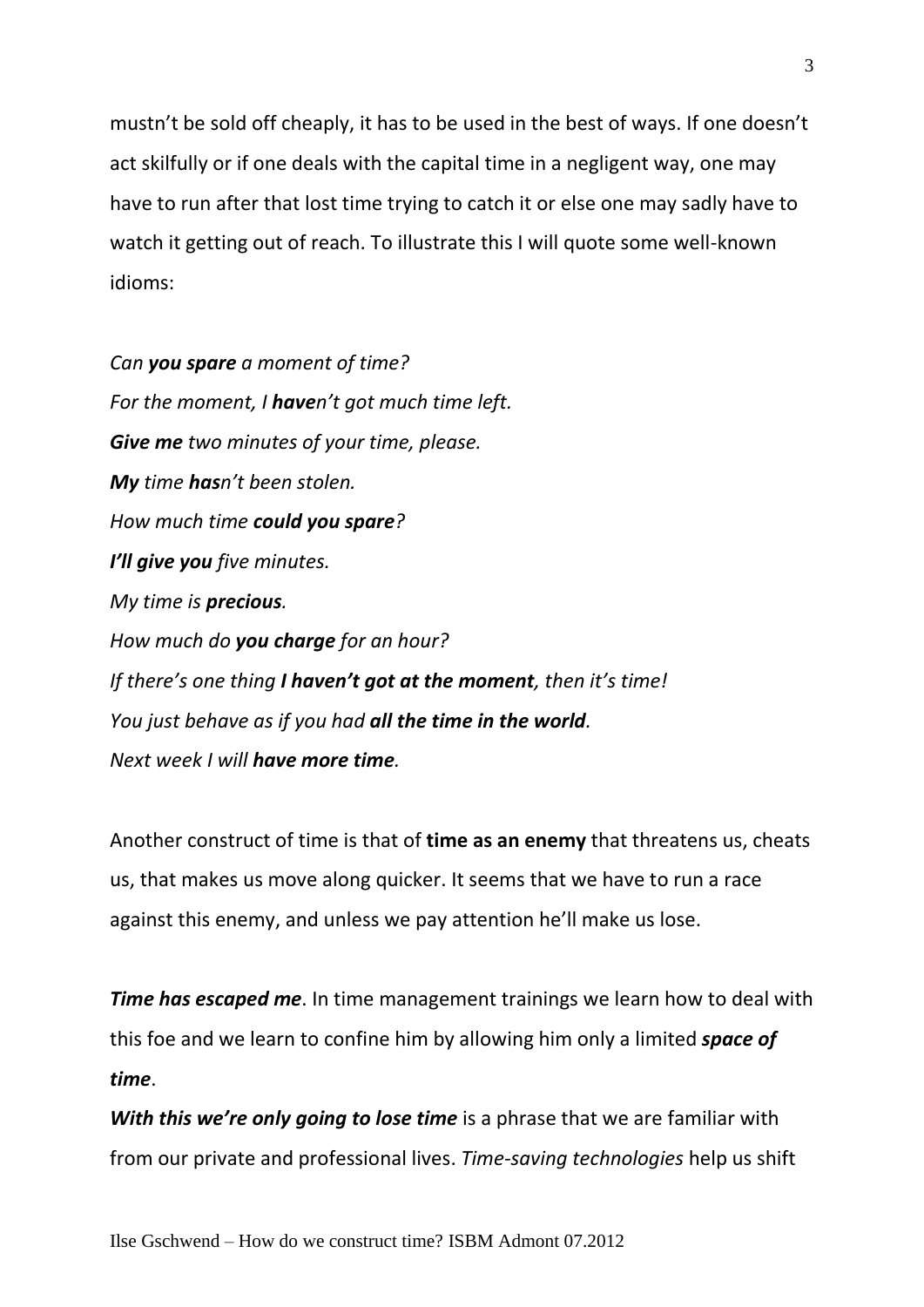mustn't be sold off cheaply, it has to be used in the best of ways. If one doesn't act skilfully or if one deals with the capital time in a negligent way, one may have to run after that lost time trying to catch it or else one may sadly have to watch it getting out of reach. To illustrate this I will quote some well-known idioms:

*Can you spare a moment of time? For the moment, I haven't got much time left. Give me two minutes of your time, please. My time hasn't been stolen. How much time could you spare? I'll give you five minutes. My time is precious. How much do you charge for an hour? If there's one thing I haven't got at the moment, then it's time! You just behave as if you had all the time in the world. Next week I will have more time.*

Another construct of time is that of **time as an enemy** that threatens us, cheats us, that makes us move along quicker. It seems that we have to run a race against this enemy, and unless we pay attention he'll make us lose.

*Time has escaped me*. In time management trainings we learn how to deal with this foe and we learn to confine him by allowing him only a limited *space of time*.

*With this we're only going to lose time* is a phrase that we are familiar with from our private and professional lives. *Time-saving technologies* help us shift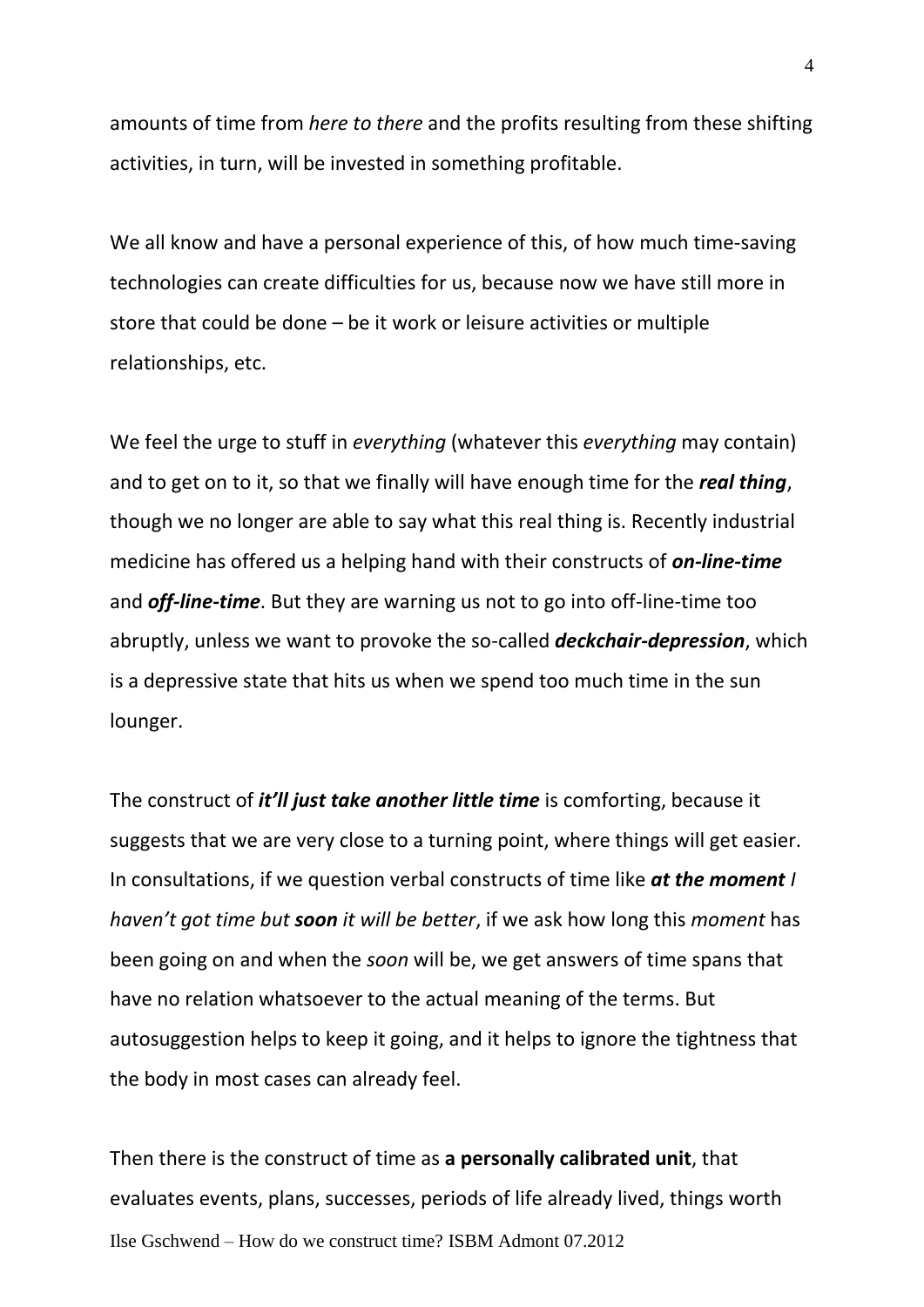amounts of time from *here to there* and the profits resulting from these shifting activities, in turn, will be invested in something profitable.

We all know and have a personal experience of this, of how much time-saving technologies can create difficulties for us, because now we have still more in store that could be done – be it work or leisure activities or multiple relationships, etc.

We feel the urge to stuff in *everything* (whatever this *everything* may contain) and to get on to it, so that we finally will have enough time for the *real thing*, though we no longer are able to say what this real thing is. Recently industrial medicine has offered us a helping hand with their constructs of *on-line-time* and *off-line-time*. But they are warning us not to go into off-line-time too abruptly, unless we want to provoke the so-called *deckchair-depression*, which is a depressive state that hits us when we spend too much time in the sun lounger.

The construct of *it'll just take another little time* is comforting, because it suggests that we are very close to a turning point, where things will get easier. In consultations, if we question verbal constructs of time like *at the moment I haven't got time but soon it will be better*, if we ask how long this *moment* has been going on and when the *soon* will be, we get answers of time spans that have no relation whatsoever to the actual meaning of the terms. But autosuggestion helps to keep it going, and it helps to ignore the tightness that the body in most cases can already feel.

Ilse Gschwend – How do we construct time? ISBM Admont 07.2012 Then there is the construct of time as **a personally calibrated unit**, that evaluates events, plans, successes, periods of life already lived, things worth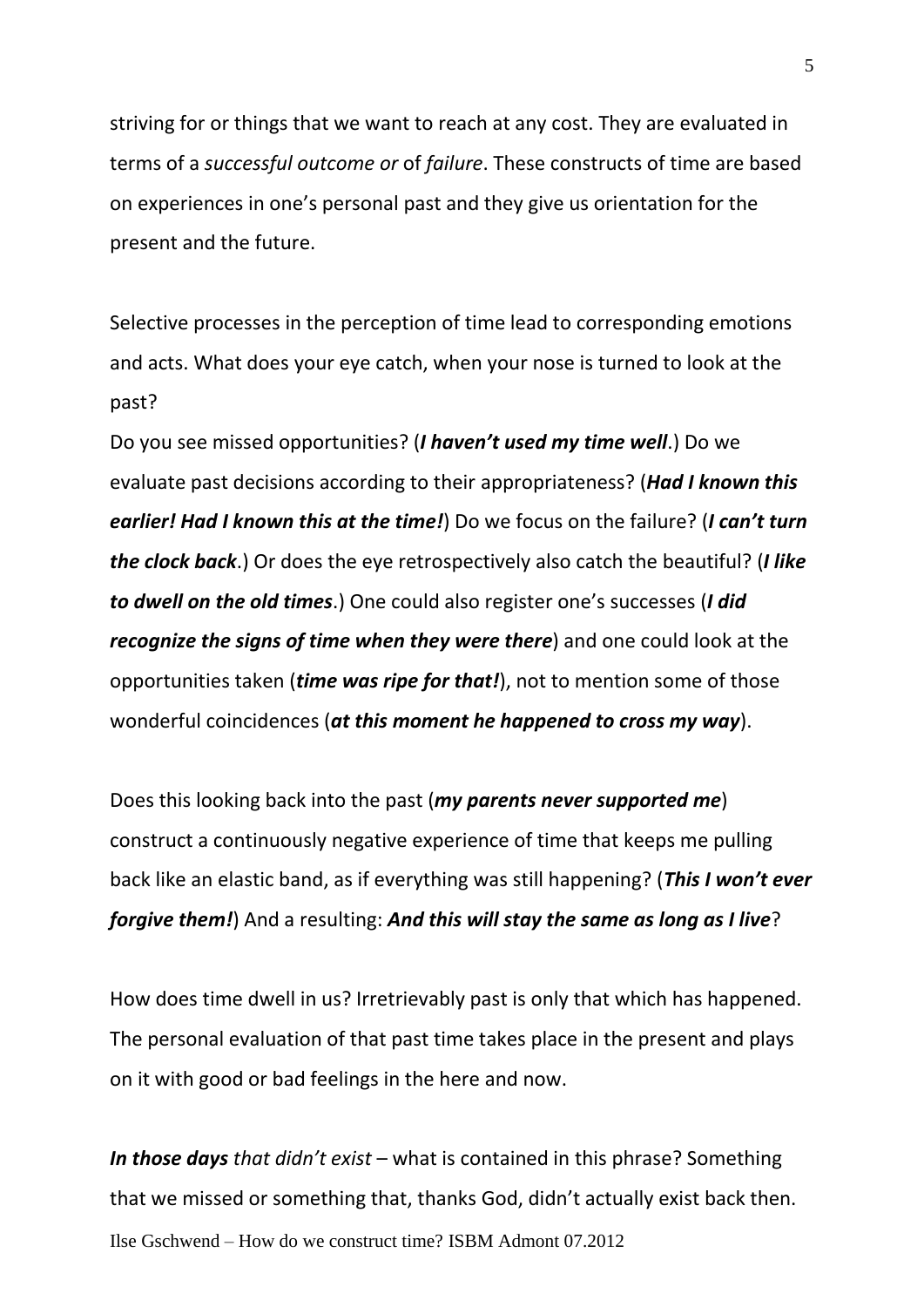striving for or things that we want to reach at any cost. They are evaluated in terms of a *successful outcome or* of *failure*. These constructs of time are based on experiences in one's personal past and they give us orientation for the present and the future.

Selective processes in the perception of time lead to corresponding emotions and acts. What does your eye catch, when your nose is turned to look at the past?

Do you see missed opportunities? (*I haven't used my time well*.) Do we evaluate past decisions according to their appropriateness? (*Had I known this earlier! Had I known this at the time!*) Do we focus on the failure? (*I can't turn the clock back*.) Or does the eye retrospectively also catch the beautiful? (*I like to dwell on the old times*.) One could also register one's successes (*I did recognize the signs of time when they were there*) and one could look at the opportunities taken (*time was ripe for that!*), not to mention some of those wonderful coincidences (*at this moment he happened to cross my way*).

Does this looking back into the past (*my parents never supported me*) construct a continuously negative experience of time that keeps me pulling back like an elastic band, as if everything was still happening? (*This I won't ever forgive them!*) And a resulting: *And this will stay the same as long as I live*?

How does time dwell in us? Irretrievably past is only that which has happened. The personal evaluation of that past time takes place in the present and plays on it with good or bad feelings in the here and now.

Ilse Gschwend – How do we construct time? ISBM Admont 07.2012 *In those days that didn't exist* – what is contained in this phrase? Something that we missed or something that, thanks God, didn't actually exist back then.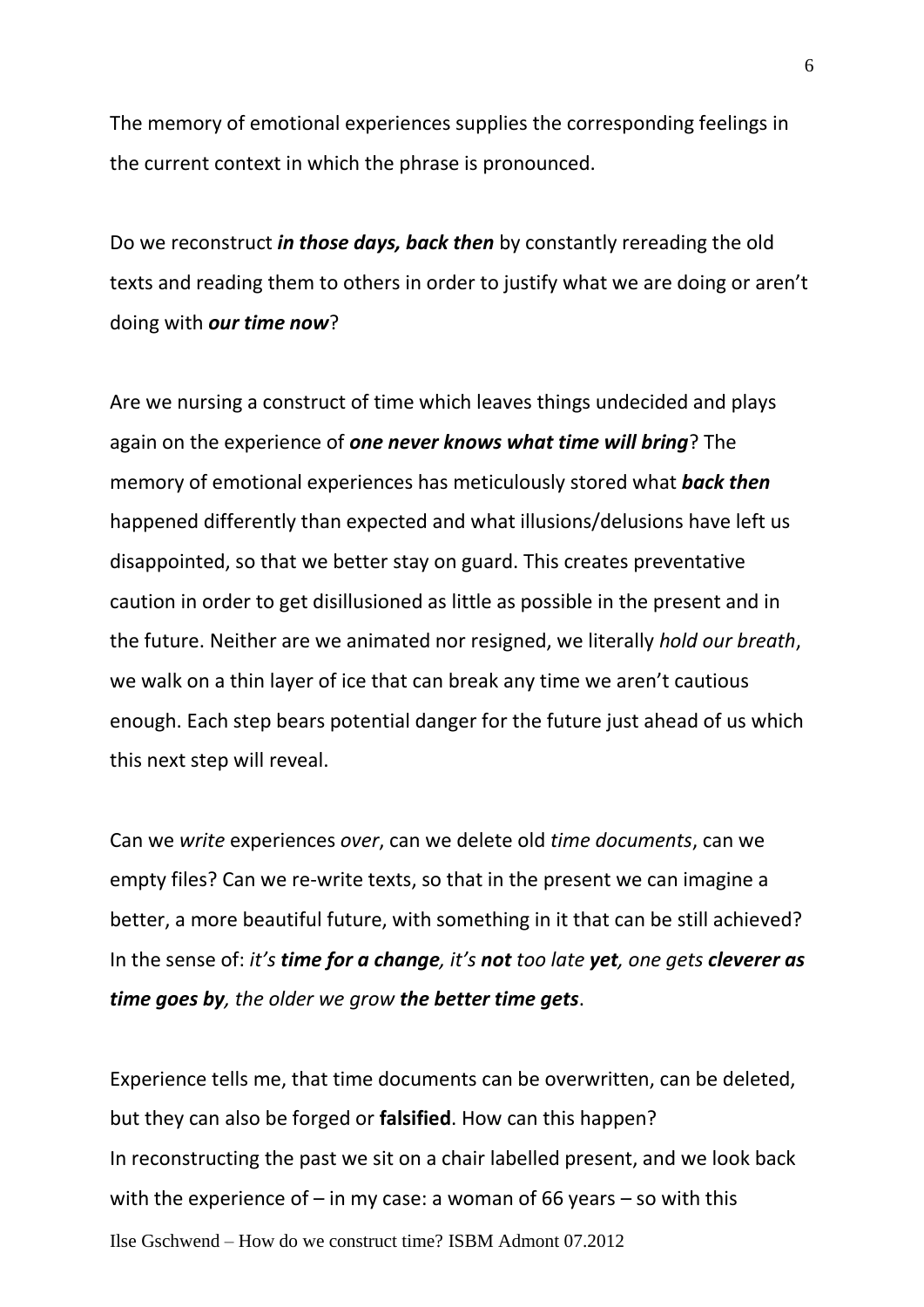The memory of emotional experiences supplies the corresponding feelings in the current context in which the phrase is pronounced.

Do we reconstruct *in those days, back then* by constantly rereading the old texts and reading them to others in order to justify what we are doing or aren't doing with *our time now*?

Are we nursing a construct of time which leaves things undecided and plays again on the experience of *one never knows what time will bring*? The memory of emotional experiences has meticulously stored what *back then* happened differently than expected and what illusions/delusions have left us disappointed, so that we better stay on guard. This creates preventative caution in order to get disillusioned as little as possible in the present and in the future. Neither are we animated nor resigned, we literally *hold our breath*, we walk on a thin layer of ice that can break any time we aren't cautious enough. Each step bears potential danger for the future just ahead of us which this next step will reveal.

Can we *write* experiences *over*, can we delete old *time documents*, can we empty files? Can we re-write texts, so that in the present we can imagine a better, a more beautiful future, with something in it that can be still achieved? In the sense of: *it's time for a change, it's not too late yet, one gets cleverer as time goes by, the older we grow the better time gets*.

Ilse Gschwend – How do we construct time? ISBM Admont 07.2012 Experience tells me, that time documents can be overwritten, can be deleted, but they can also be forged or **falsified**. How can this happen? In reconstructing the past we sit on a chair labelled present, and we look back with the experience of  $-$  in my case: a woman of 66 years  $-$  so with this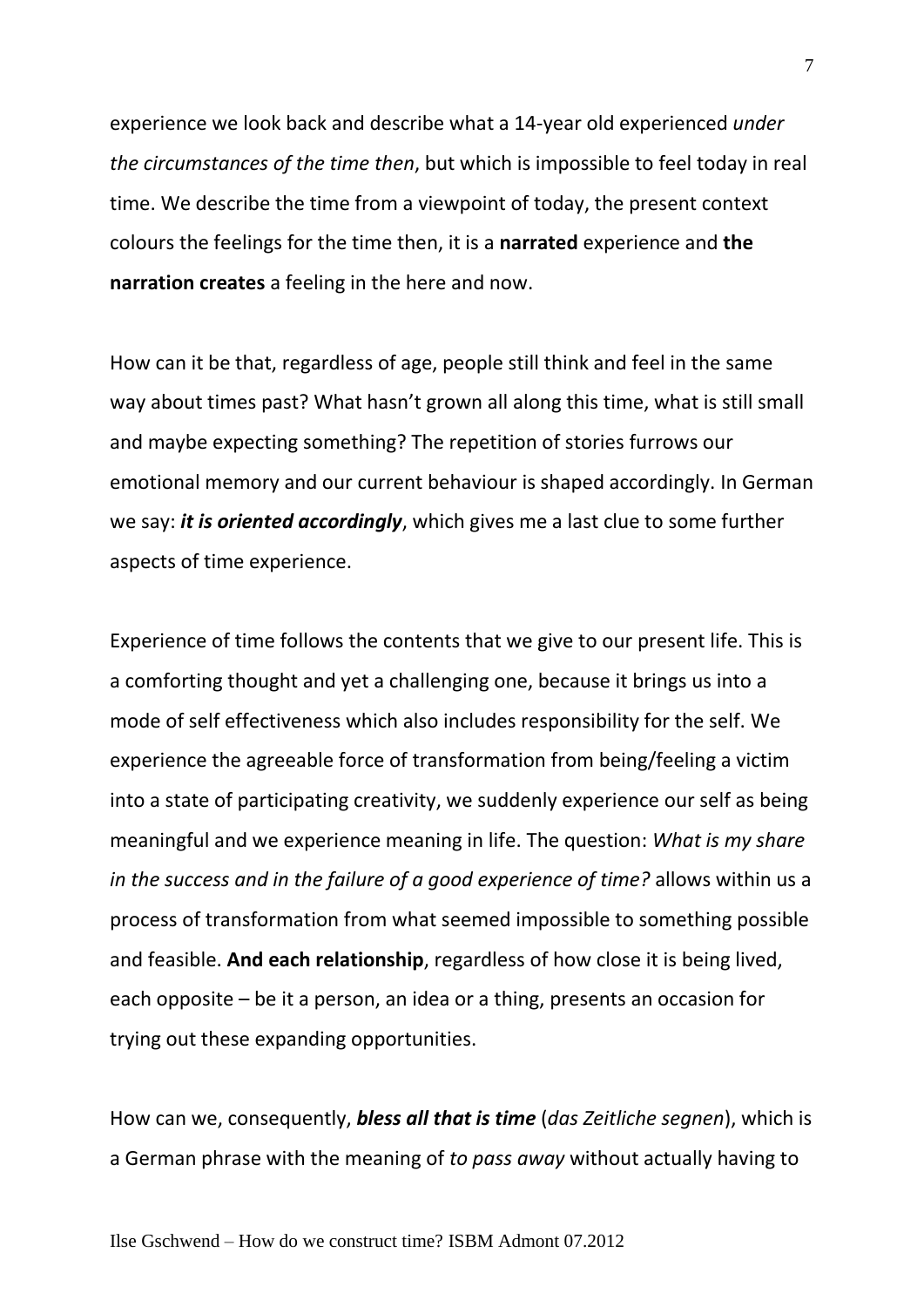experience we look back and describe what a 14-year old experienced *under the circumstances of the time then*, but which is impossible to feel today in real time. We describe the time from a viewpoint of today, the present context colours the feelings for the time then, it is a **narrated** experience and **the narration creates** a feeling in the here and now.

How can it be that, regardless of age, people still think and feel in the same way about times past? What hasn't grown all along this time, what is still small and maybe expecting something? The repetition of stories furrows our emotional memory and our current behaviour is shaped accordingly. In German we say: *it is oriented accordingly*, which gives me a last clue to some further aspects of time experience.

Experience of time follows the contents that we give to our present life. This is a comforting thought and yet a challenging one, because it brings us into a mode of self effectiveness which also includes responsibility for the self. We experience the agreeable force of transformation from being/feeling a victim into a state of participating creativity, we suddenly experience our self as being meaningful and we experience meaning in life. The question: *What is my share in the success and in the failure of a good experience of time?* allows within us a process of transformation from what seemed impossible to something possible and feasible. **And each relationship**, regardless of how close it is being lived, each opposite – be it a person, an idea or a thing, presents an occasion for trying out these expanding opportunities.

How can we, consequently, *bless all that is time* (*das Zeitliche segnen*), which is a German phrase with the meaning of *to pass away* without actually having to